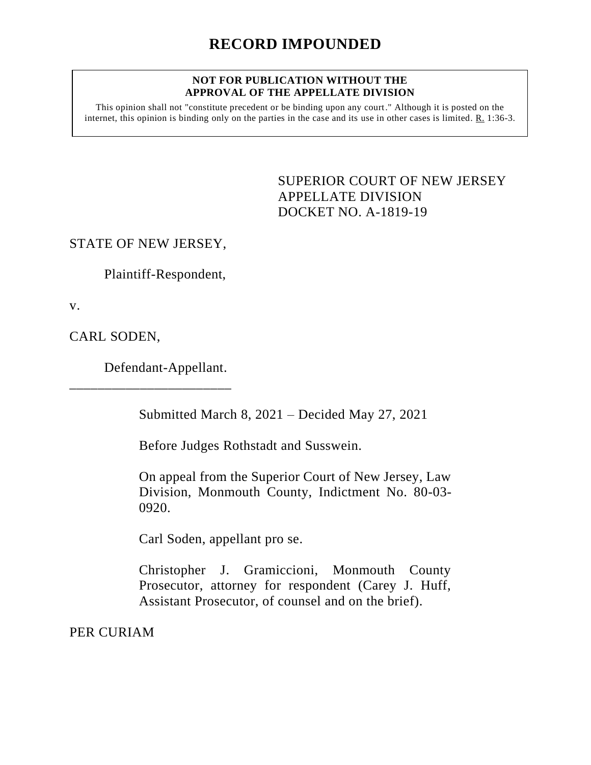#### **NOT FOR PUBLICATION WITHOUT THE APPROVAL OF THE APPELLATE DIVISION**

This opinion shall not "constitute precedent or be binding upon any court." Although it is posted on the internet, this opinion is binding only on the parties in the case and its use in other cases is limited. R. 1:36-3.

> SUPERIOR COURT OF NEW JERSEY APPELLATE DIVISION DOCKET NO. A-1819-19

STATE OF NEW JERSEY,

Plaintiff-Respondent,

v.

CARL SODEN,

Defendant-Appellant.

\_\_\_\_\_\_\_\_\_\_\_\_\_\_\_\_\_\_\_\_\_\_\_

Submitted March 8, 2021 – Decided May 27, 2021

Before Judges Rothstadt and Susswein.

On appeal from the Superior Court of New Jersey, Law Division, Monmouth County, Indictment No. 80-03- 0920.

Carl Soden, appellant pro se.

Christopher J. Gramiccioni, Monmouth County Prosecutor, attorney for respondent (Carey J. Huff, Assistant Prosecutor, of counsel and on the brief).

PER CURIAM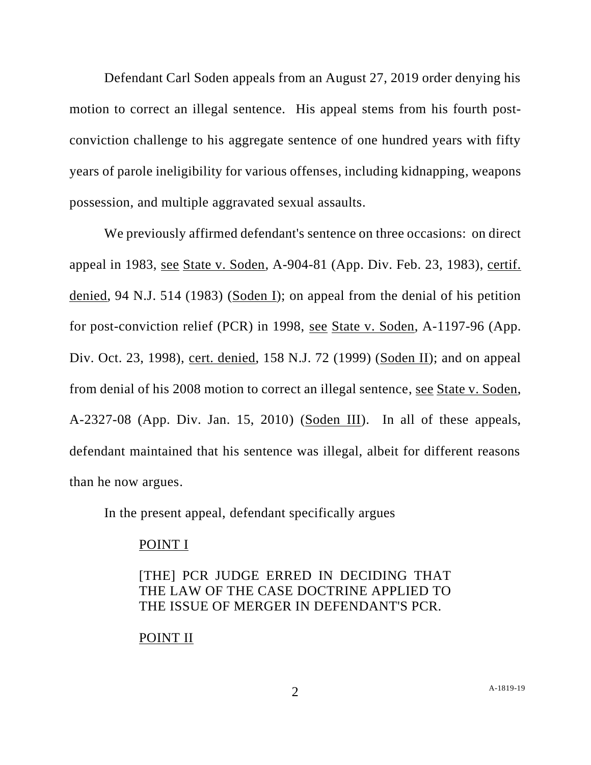Defendant Carl Soden appeals from an August 27, 2019 order denying his motion to correct an illegal sentence. His appeal stems from his fourth postconviction challenge to his aggregate sentence of one hundred years with fifty years of parole ineligibility for various offenses, including kidnapping, weapons possession, and multiple aggravated sexual assaults.

We previously affirmed defendant's sentence on three occasions: on direct appeal in 1983, see State v. Soden, A-904-81 (App. Div. Feb. 23, 1983), certif. denied, 94 N.J. 514 (1983) (Soden I); on appeal from the denial of his petition for post-conviction relief (PCR) in 1998, see State v. Soden, A-1197-96 (App. Div. Oct. 23, 1998), cert. denied, 158 N.J. 72 (1999) (Soden II); and on appeal from denial of his 2008 motion to correct an illegal sentence, see State v. Soden, A-2327-08 (App. Div. Jan. 15, 2010) (Soden III). In all of these appeals, defendant maintained that his sentence was illegal, albeit for different reasons than he now argues.

In the present appeal, defendant specifically argues

#### POINT I

# [THE] PCR JUDGE ERRED IN DECIDING THAT THE LAW OF THE CASE DOCTRINE APPLIED TO THE ISSUE OF MERGER IN DEFENDANT'S PCR.

### POINT II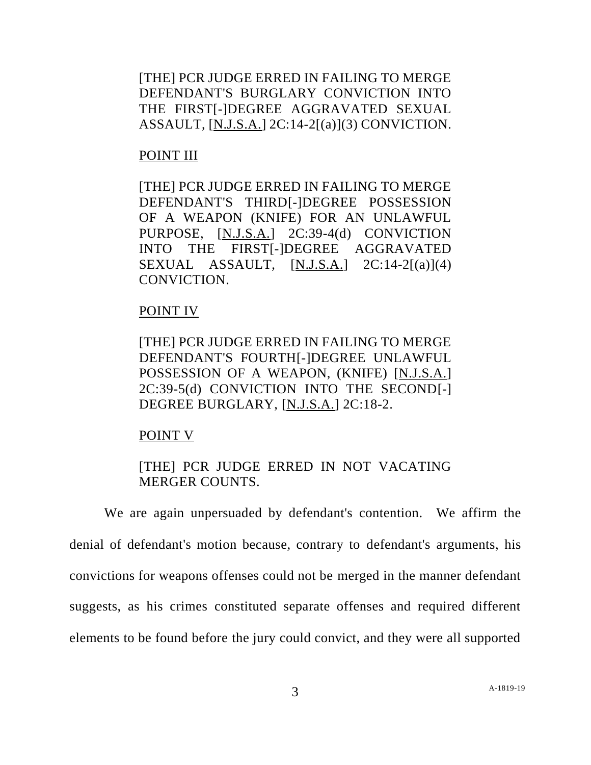[THE] PCR JUDGE ERRED IN FAILING TO MERGE DEFENDANT'S BURGLARY CONVICTION INTO THE FIRST[-]DEGREE AGGRAVATED SEXUAL ASSAULT, [N.J.S.A.] 2C:14-2[(a)](3) CONVICTION.

#### POINT III

[THE] PCR JUDGE ERRED IN FAILING TO MERGE DEFENDANT'S THIRD[-]DEGREE POSSESSION OF A WEAPON (KNIFE) FOR AN UNLAWFUL PURPOSE, [N.J.S.A.] 2C:39-4(d) CONVICTION INTO THE FIRST[-]DEGREE AGGRAVATED SEXUAL ASSAULT,  $[N.J.S.A.]$   $2C:14-2[(a)](4)$ CONVICTION.

### POINT IV

[THE] PCR JUDGE ERRED IN FAILING TO MERGE DEFENDANT'S FOURTH[-]DEGREE UNLAWFUL POSSESSION OF A WEAPON, (KNIFE) [N.J.S.A.] 2C:39-5(d) CONVICTION INTO THE SECOND[-] DEGREE BURGLARY, [N.J.S.A.] 2C:18-2.

### POINT V

## [THE] PCR JUDGE ERRED IN NOT VACATING MERGER COUNTS.

We are again unpersuaded by defendant's contention. We affirm the denial of defendant's motion because, contrary to defendant's arguments, his convictions for weapons offenses could not be merged in the manner defendant suggests, as his crimes constituted separate offenses and required different elements to be found before the jury could convict, and they were all supported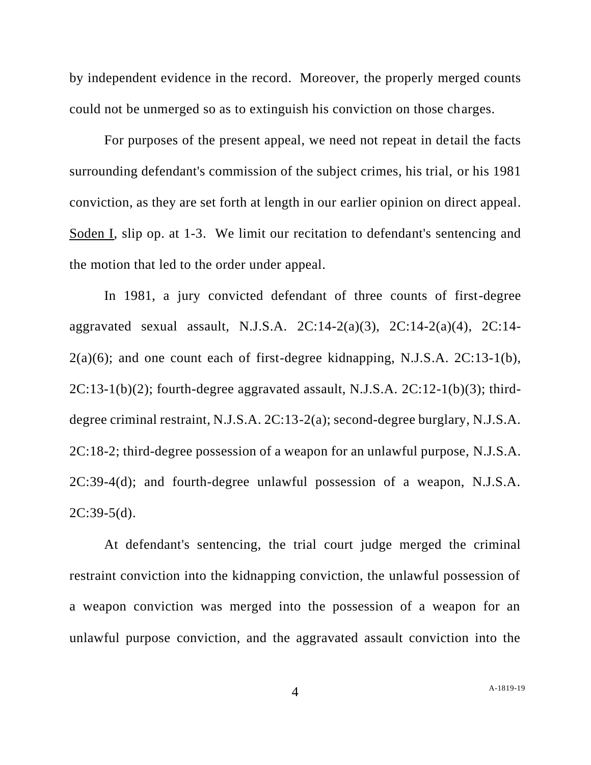by independent evidence in the record. Moreover, the properly merged counts could not be unmerged so as to extinguish his conviction on those charges.

For purposes of the present appeal, we need not repeat in detail the facts surrounding defendant's commission of the subject crimes, his trial, or his 1981 conviction, as they are set forth at length in our earlier opinion on direct appeal. Soden I, slip op. at 1-3. We limit our recitation to defendant's sentencing and the motion that led to the order under appeal.

In 1981, a jury convicted defendant of three counts of first-degree aggravated sexual assault, N.J.S.A. 2C:14-2(a)(3), 2C:14-2(a)(4), 2C:14-  $2(a)(6)$ ; and one count each of first-degree kidnapping, N.J.S.A.  $2C:13-1(b)$ ,  $2C:13-1(b)(2)$ ; fourth-degree aggravated assault, N.J.S.A.  $2C:12-1(b)(3)$ ; thirddegree criminal restraint, N.J.S.A. 2C:13-2(a); second-degree burglary, N.J.S.A. 2C:18-2; third-degree possession of a weapon for an unlawful purpose, N.J.S.A. 2C:39-4(d); and fourth-degree unlawful possession of a weapon, N.J.S.A.  $2C:39-5(d)$ .

At defendant's sentencing, the trial court judge merged the criminal restraint conviction into the kidnapping conviction, the unlawful possession of a weapon conviction was merged into the possession of a weapon for an unlawful purpose conviction, and the aggravated assault conviction into the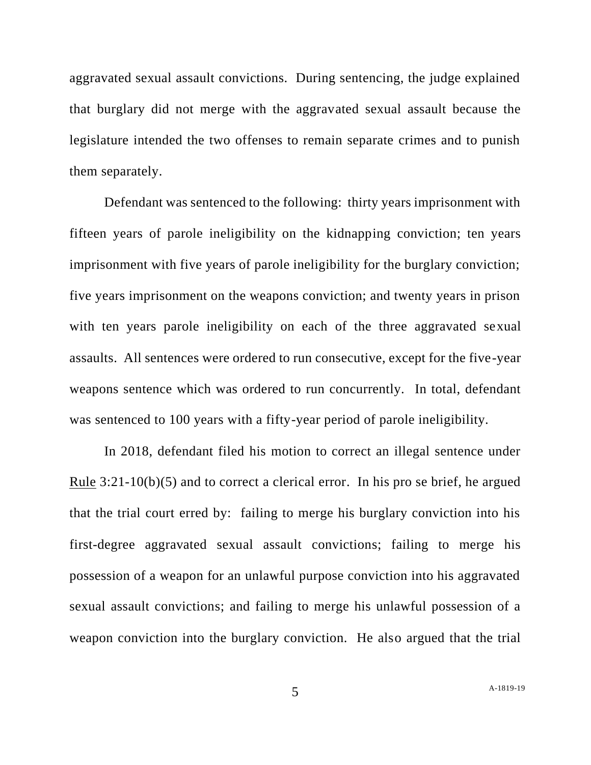aggravated sexual assault convictions. During sentencing, the judge explained that burglary did not merge with the aggravated sexual assault because the legislature intended the two offenses to remain separate crimes and to punish them separately.

Defendant was sentenced to the following: thirty years imprisonment with fifteen years of parole ineligibility on the kidnapping conviction; ten years imprisonment with five years of parole ineligibility for the burglary conviction; five years imprisonment on the weapons conviction; and twenty years in prison with ten years parole ineligibility on each of the three aggravated sexual assaults. All sentences were ordered to run consecutive, except for the five-year weapons sentence which was ordered to run concurrently. In total, defendant was sentenced to 100 years with a fifty-year period of parole ineligibility.

In 2018, defendant filed his motion to correct an illegal sentence under Rule  $3:21-10(b)(5)$  and to correct a clerical error. In his pro se brief, he argued that the trial court erred by: failing to merge his burglary conviction into his first-degree aggravated sexual assault convictions; failing to merge his possession of a weapon for an unlawful purpose conviction into his aggravated sexual assault convictions; and failing to merge his unlawful possession of a weapon conviction into the burglary conviction. He also argued that the trial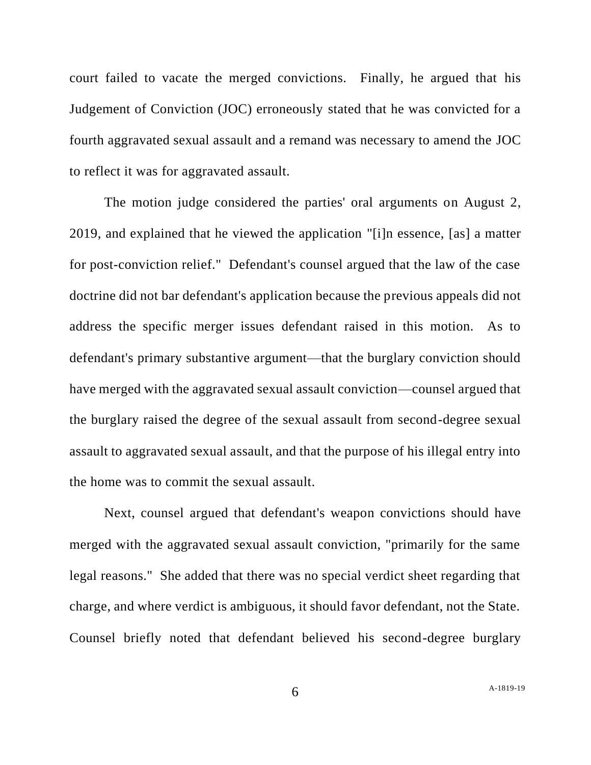court failed to vacate the merged convictions. Finally, he argued that his Judgement of Conviction (JOC) erroneously stated that he was convicted for a fourth aggravated sexual assault and a remand was necessary to amend the JOC to reflect it was for aggravated assault.

The motion judge considered the parties' oral arguments on August 2, 2019, and explained that he viewed the application "[i]n essence, [as] a matter for post-conviction relief." Defendant's counsel argued that the law of the case doctrine did not bar defendant's application because the previous appeals did not address the specific merger issues defendant raised in this motion. As to defendant's primary substantive argument—that the burglary conviction should have merged with the aggravated sexual assault conviction—counsel argued that the burglary raised the degree of the sexual assault from second-degree sexual assault to aggravated sexual assault, and that the purpose of his illegal entry into the home was to commit the sexual assault.

Next, counsel argued that defendant's weapon convictions should have merged with the aggravated sexual assault conviction, "primarily for the same legal reasons." She added that there was no special verdict sheet regarding that charge, and where verdict is ambiguous, it should favor defendant, not the State. Counsel briefly noted that defendant believed his second-degree burglary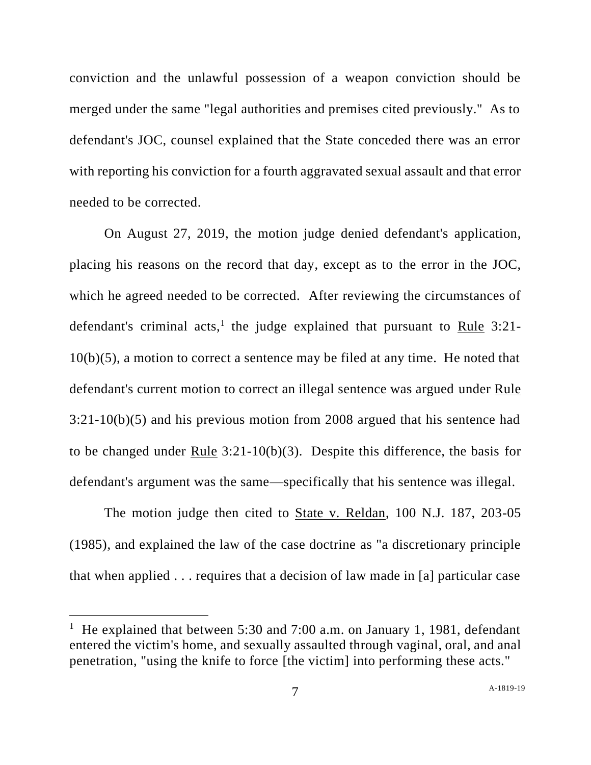conviction and the unlawful possession of a weapon conviction should be merged under the same "legal authorities and premises cited previously." As to defendant's JOC, counsel explained that the State conceded there was an error with reporting his conviction for a fourth aggravated sexual assault and that error needed to be corrected.

On August 27, 2019, the motion judge denied defendant's application, placing his reasons on the record that day, except as to the error in the JOC, which he agreed needed to be corrected. After reviewing the circumstances of defendant's criminal acts,<sup>1</sup> the judge explained that pursuant to Rule 3:21-10(b)(5), a motion to correct a sentence may be filed at any time. He noted that defendant's current motion to correct an illegal sentence was argued under Rule 3:21-10(b)(5) and his previous motion from 2008 argued that his sentence had to be changed under Rule 3:21-10(b)(3). Despite this difference, the basis for defendant's argument was the same—specifically that his sentence was illegal.

The motion judge then cited to State v. Reldan, 100 N.J. 187, 203-05 (1985), and explained the law of the case doctrine as "a discretionary principle that when applied . . . requires that a decision of law made in [a] particular case

<sup>&</sup>lt;sup>1</sup> He explained that between 5:30 and 7:00 a.m. on January 1, 1981, defendant entered the victim's home, and sexually assaulted through vaginal, oral, and anal penetration, "using the knife to force [the victim] into performing these acts."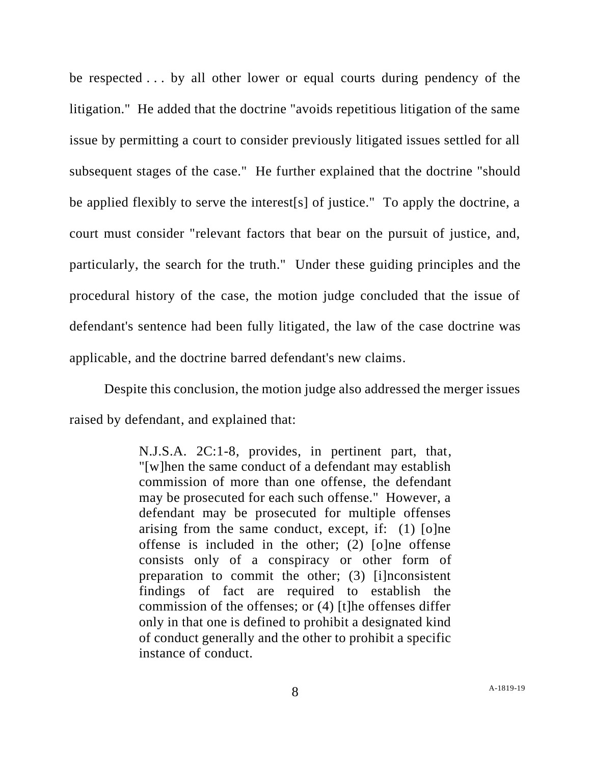be respected . . . by all other lower or equal courts during pendency of the litigation." He added that the doctrine "avoids repetitious litigation of the same issue by permitting a court to consider previously litigated issues settled for all subsequent stages of the case." He further explained that the doctrine "should be applied flexibly to serve the interest[s] of justice." To apply the doctrine, a court must consider "relevant factors that bear on the pursuit of justice, and, particularly, the search for the truth." Under these guiding principles and the procedural history of the case, the motion judge concluded that the issue of defendant's sentence had been fully litigated, the law of the case doctrine was applicable, and the doctrine barred defendant's new claims.

Despite this conclusion, the motion judge also addressed the merger issues raised by defendant, and explained that:

> N.J.S.A. 2C:1-8, provides, in pertinent part, that, "[w]hen the same conduct of a defendant may establish commission of more than one offense, the defendant may be prosecuted for each such offense." However, a defendant may be prosecuted for multiple offenses arising from the same conduct, except, if: (1) [o]ne offense is included in the other; (2) [o]ne offense consists only of a conspiracy or other form of preparation to commit the other; (3) [i]nconsistent findings of fact are required to establish the commission of the offenses; or (4) [t]he offenses differ only in that one is defined to prohibit a designated kind of conduct generally and the other to prohibit a specific instance of conduct.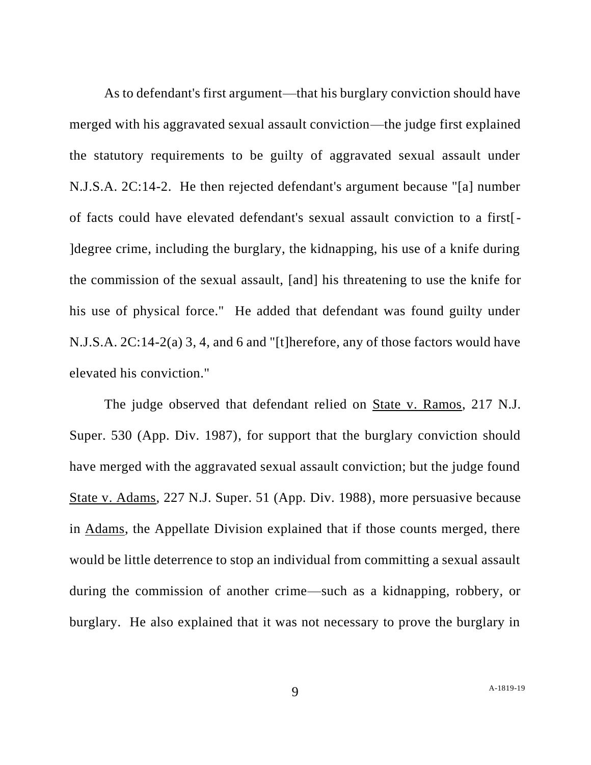As to defendant's first argument—that his burglary conviction should have merged with his aggravated sexual assault conviction—the judge first explained the statutory requirements to be guilty of aggravated sexual assault under N.J.S.A. 2C:14-2. He then rejected defendant's argument because "[a] number of facts could have elevated defendant's sexual assault conviction to a first[- ]degree crime, including the burglary, the kidnapping, his use of a knife during the commission of the sexual assault, [and] his threatening to use the knife for his use of physical force." He added that defendant was found guilty under N.J.S.A. 2C:14-2(a) 3, 4, and 6 and "[t]herefore, any of those factors would have elevated his conviction."

The judge observed that defendant relied on State v. Ramos, 217 N.J. Super. 530 (App. Div. 1987), for support that the burglary conviction should have merged with the aggravated sexual assault conviction; but the judge found State v. Adams, 227 N.J. Super. 51 (App. Div. 1988), more persuasive because in Adams, the Appellate Division explained that if those counts merged, there would be little deterrence to stop an individual from committing a sexual assault during the commission of another crime—such as a kidnapping, robbery, or burglary. He also explained that it was not necessary to prove the burglary in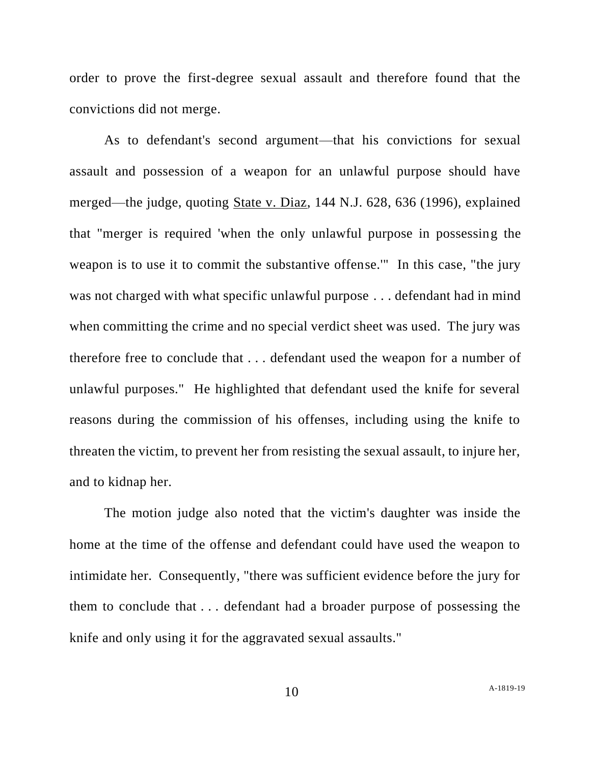order to prove the first-degree sexual assault and therefore found that the convictions did not merge.

As to defendant's second argument—that his convictions for sexual assault and possession of a weapon for an unlawful purpose should have merged—the judge, quoting State v. Diaz, 144 N.J. 628, 636 (1996), explained that "merger is required 'when the only unlawful purpose in possessing the weapon is to use it to commit the substantive offense.'" In this case, "the jury was not charged with what specific unlawful purpose . . . defendant had in mind when committing the crime and no special verdict sheet was used. The jury was therefore free to conclude that . . . defendant used the weapon for a number of unlawful purposes." He highlighted that defendant used the knife for several reasons during the commission of his offenses, including using the knife to threaten the victim, to prevent her from resisting the sexual assault, to injure her, and to kidnap her.

The motion judge also noted that the victim's daughter was inside the home at the time of the offense and defendant could have used the weapon to intimidate her. Consequently, "there was sufficient evidence before the jury for them to conclude that . . . defendant had a broader purpose of possessing the knife and only using it for the aggravated sexual assaults."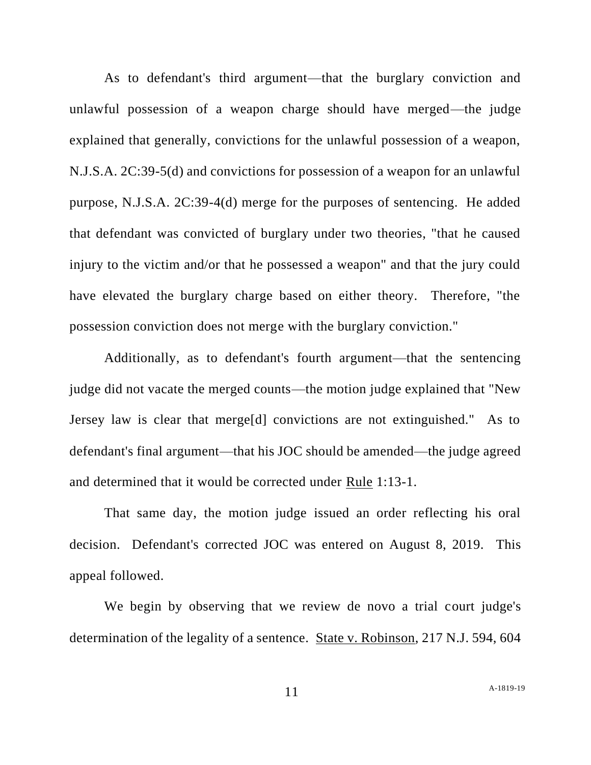As to defendant's third argument—that the burglary conviction and unlawful possession of a weapon charge should have merged—the judge explained that generally, convictions for the unlawful possession of a weapon, N.J.S.A. 2C:39-5(d) and convictions for possession of a weapon for an unlawful purpose, N.J.S.A. 2C:39-4(d) merge for the purposes of sentencing. He added that defendant was convicted of burglary under two theories, "that he caused injury to the victim and/or that he possessed a weapon" and that the jury could have elevated the burglary charge based on either theory. Therefore, "the possession conviction does not merge with the burglary conviction."

Additionally, as to defendant's fourth argument—that the sentencing judge did not vacate the merged counts—the motion judge explained that "New Jersey law is clear that merge[d] convictions are not extinguished." As to defendant's final argument—that his JOC should be amended—the judge agreed and determined that it would be corrected under Rule 1:13-1.

That same day, the motion judge issued an order reflecting his oral decision. Defendant's corrected JOC was entered on August 8, 2019. This appeal followed.

We begin by observing that we review de novo a trial court judge's determination of the legality of a sentence. State v. Robinson, 217 N.J. 594, 604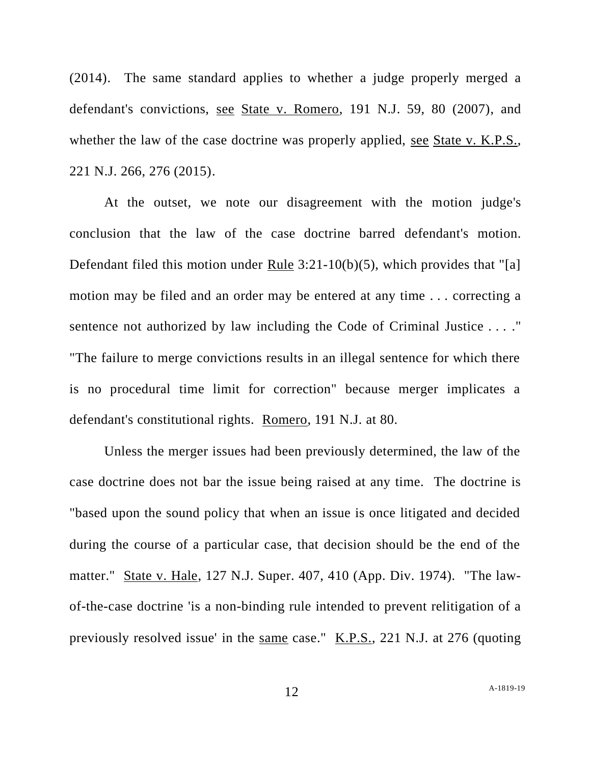(2014). The same standard applies to whether a judge properly merged a defendant's convictions, see State v. Romero, 191 N.J. 59, 80 (2007), and whether the law of the case doctrine was properly applied, <u>see State v. K.P.S.</u>, 221 N.J. 266, 276 (2015).

At the outset, we note our disagreement with the motion judge's conclusion that the law of the case doctrine barred defendant's motion. Defendant filed this motion under Rule 3:21-10(b)(5), which provides that "[a] motion may be filed and an order may be entered at any time . . . correcting a sentence not authorized by law including the Code of Criminal Justice . . . ." "The failure to merge convictions results in an illegal sentence for which there is no procedural time limit for correction" because merger implicates a defendant's constitutional rights. Romero, 191 N.J. at 80.

Unless the merger issues had been previously determined, the law of the case doctrine does not bar the issue being raised at any time. The doctrine is "based upon the sound policy that when an issue is once litigated and decided during the course of a particular case, that decision should be the end of the matter." State v. Hale, 127 N.J. Super. 407, 410 (App. Div. 1974). "The lawof-the-case doctrine 'is a non-binding rule intended to prevent relitigation of a previously resolved issue' in the same case." K.P.S., 221 N.J. at 276 (quoting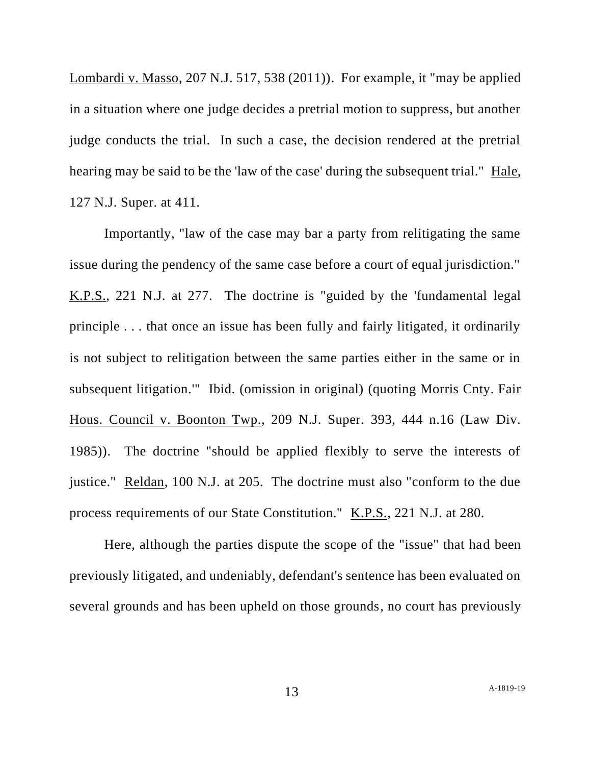Lombardi v. Masso, 207 N.J. 517, 538 (2011)). For example, it "may be applied in a situation where one judge decides a pretrial motion to suppress, but another judge conducts the trial. In such a case, the decision rendered at the pretrial hearing may be said to be the 'law of the case' during the subsequent trial." Hale, 127 N.J. Super. at 411.

Importantly, "law of the case may bar a party from relitigating the same issue during the pendency of the same case before a court of equal jurisdiction." K.P.S., 221 N.J. at 277. The doctrine is "guided by the 'fundamental legal principle . . . that once an issue has been fully and fairly litigated, it ordinarily is not subject to relitigation between the same parties either in the same or in subsequent litigation.'" Ibid. (omission in original) (quoting Morris Cnty. Fair Hous. Council v. Boonton Twp., 209 N.J. Super. 393, 444 n.16 (Law Div. 1985)). The doctrine "should be applied flexibly to serve the interests of justice." Reldan, 100 N.J. at 205. The doctrine must also "conform to the due process requirements of our State Constitution." K.P.S., 221 N.J. at 280.

Here, although the parties dispute the scope of the "issue" that had been previously litigated, and undeniably, defendant's sentence has been evaluated on several grounds and has been upheld on those grounds, no court has previously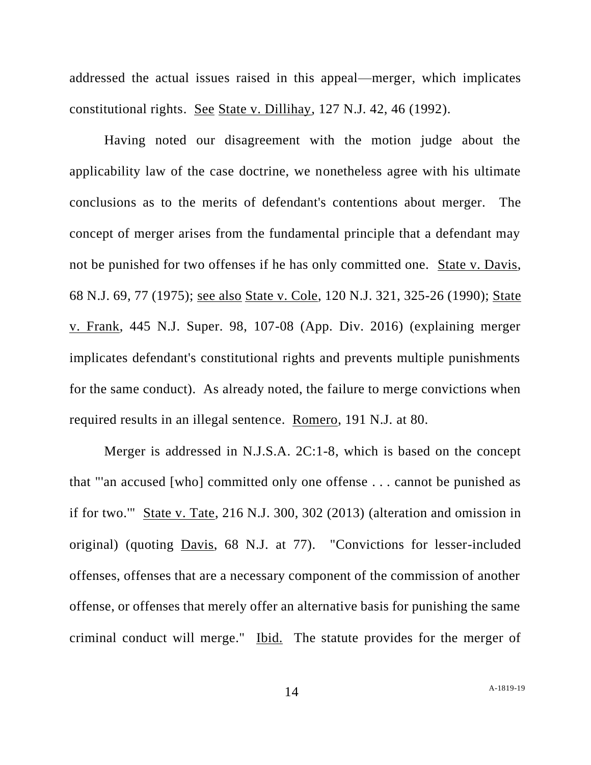addressed the actual issues raised in this appeal—merger, which implicates constitutional rights. See State v. Dillihay, 127 N.J. 42, 46 (1992).

Having noted our disagreement with the motion judge about the applicability law of the case doctrine, we nonetheless agree with his ultimate conclusions as to the merits of defendant's contentions about merger. The concept of merger arises from the fundamental principle that a defendant may not be punished for two offenses if he has only committed one. State v. Davis, 68 N.J. 69, 77 (1975); see also State v. Cole, 120 N.J. 321, 325-26 (1990); State v. Frank, 445 N.J. Super. 98, 107-08 (App. Div. 2016) (explaining merger implicates defendant's constitutional rights and prevents multiple punishments for the same conduct). As already noted, the failure to merge convictions when required results in an illegal sentence. Romero, 191 N.J. at 80.

Merger is addressed in N.J.S.A. 2C:1-8, which is based on the concept that "'an accused [who] committed only one offense . . . cannot be punished as if for two.'" State v. Tate, 216 N.J. 300, 302 (2013) (alteration and omission in original) (quoting Davis, 68 N.J. at 77). "Convictions for lesser-included offenses, offenses that are a necessary component of the commission of another offense, or offenses that merely offer an alternative basis for punishing the same criminal conduct will merge." Ibid. The statute provides for the merger of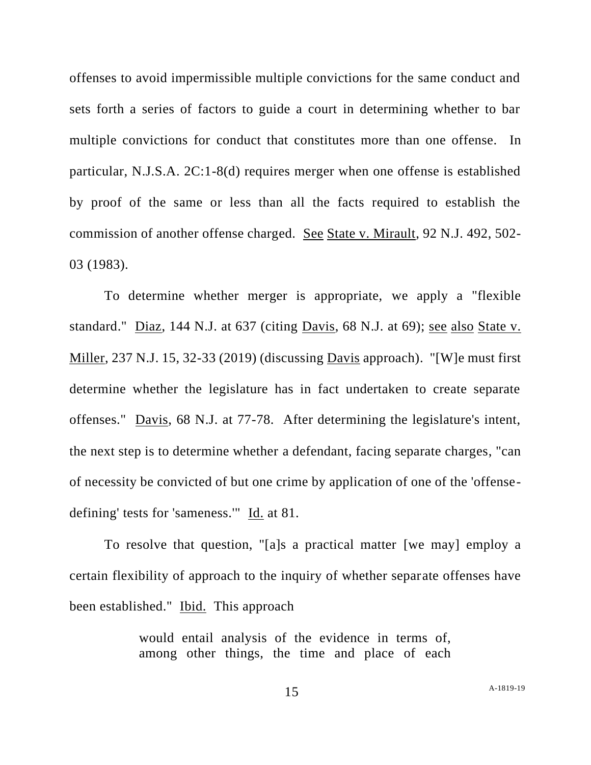offenses to avoid impermissible multiple convictions for the same conduct and sets forth a series of factors to guide a court in determining whether to bar multiple convictions for conduct that constitutes more than one offense. In particular, N.J.S.A. 2C:1-8(d) requires merger when one offense is established by proof of the same or less than all the facts required to establish the commission of another offense charged. See State v. Mirault, 92 N.J. 492, 502- 03 (1983).

To determine whether merger is appropriate, we apply a "flexible standard." Diaz, 144 N.J. at 637 (citing Davis, 68 N.J. at 69); see also State v. Miller, 237 N.J. 15, 32-33 (2019) (discussing Davis approach). "[W]e must first determine whether the legislature has in fact undertaken to create separate offenses." Davis, 68 N.J. at 77-78. After determining the legislature's intent, the next step is to determine whether a defendant, facing separate charges, "can of necessity be convicted of but one crime by application of one of the 'offensedefining' tests for 'sameness.'" Id. at 81.

To resolve that question, "[a]s a practical matter [we may] employ a certain flexibility of approach to the inquiry of whether separate offenses have been established." Ibid. This approach

> would entail analysis of the evidence in terms of, among other things, the time and place of each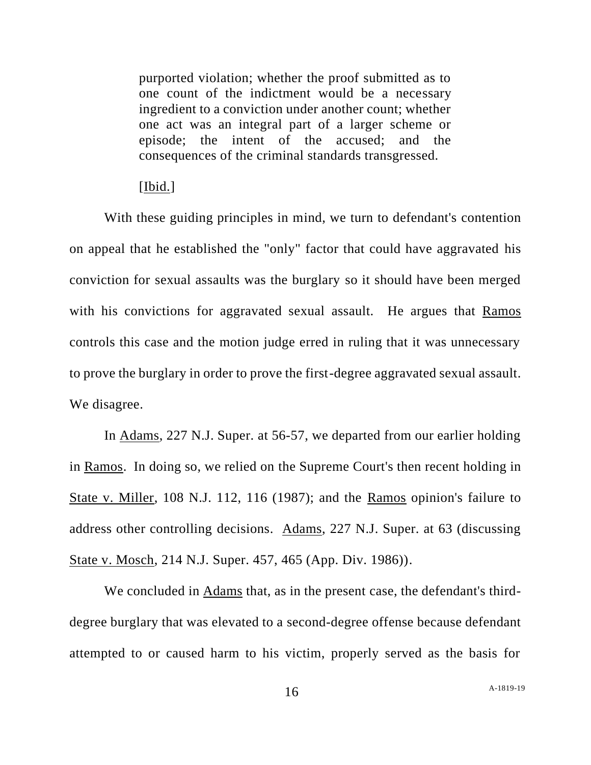purported violation; whether the proof submitted as to one count of the indictment would be a necessary ingredient to a conviction under another count; whether one act was an integral part of a larger scheme or episode; the intent of the accused; and the consequences of the criminal standards transgressed.

#### [Ibid.]

With these guiding principles in mind, we turn to defendant's contention on appeal that he established the "only" factor that could have aggravated his conviction for sexual assaults was the burglary so it should have been merged with his convictions for aggravated sexual assault. He argues that Ramos controls this case and the motion judge erred in ruling that it was unnecessary to prove the burglary in order to prove the first-degree aggravated sexual assault. We disagree.

In Adams, 227 N.J. Super. at 56-57, we departed from our earlier holding in Ramos. In doing so, we relied on the Supreme Court's then recent holding in State v. Miller, 108 N.J. 112, 116 (1987); and the Ramos opinion's failure to address other controlling decisions. Adams, 227 N.J. Super. at 63 (discussing State v. Mosch, 214 N.J. Super. 457, 465 (App. Div. 1986)).

We concluded in Adams that, as in the present case, the defendant's thirddegree burglary that was elevated to a second-degree offense because defendant attempted to or caused harm to his victim, properly served as the basis for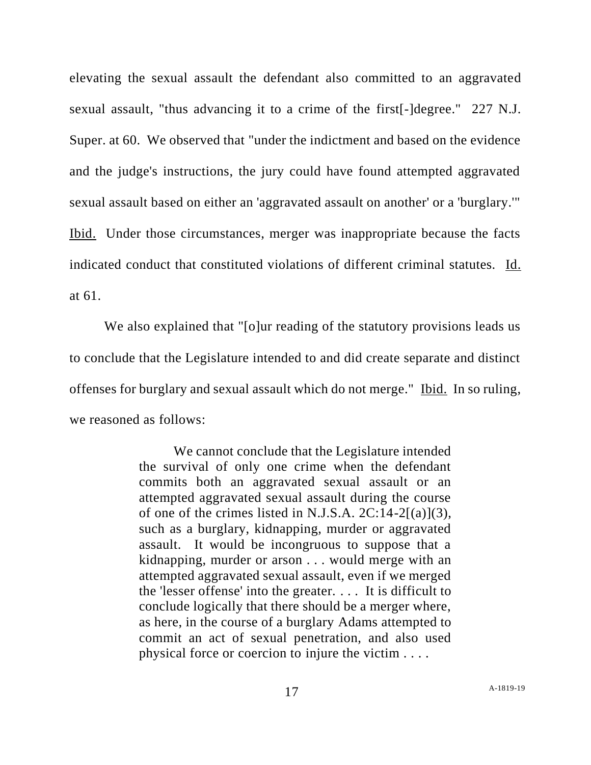elevating the sexual assault the defendant also committed to an aggravated sexual assault, "thus advancing it to a crime of the first[-]degree." 227 N.J. Super. at 60. We observed that "under the indictment and based on the evidence and the judge's instructions, the jury could have found attempted aggravated sexual assault based on either an 'aggravated assault on another' or a 'burglary.'" Ibid. Under those circumstances, merger was inappropriate because the facts indicated conduct that constituted violations of different criminal statutes. Id. at 61.

We also explained that "[o]ur reading of the statutory provisions leads us to conclude that the Legislature intended to and did create separate and distinct offenses for burglary and sexual assault which do not merge." Ibid. In so ruling, we reasoned as follows:

> We cannot conclude that the Legislature intended the survival of only one crime when the defendant commits both an aggravated sexual assault or an attempted aggravated sexual assault during the course of one of the crimes listed in N.J.S.A.  $2C:14-2[(a)](3)$ , such as a burglary, kidnapping, murder or aggravated assault. It would be incongruous to suppose that a kidnapping, murder or arson . . . would merge with an attempted aggravated sexual assault, even if we merged the 'lesser offense' into the greater. . . . It is difficult to conclude logically that there should be a merger where, as here, in the course of a burglary Adams attempted to commit an act of sexual penetration, and also used physical force or coercion to injure the victim . . . .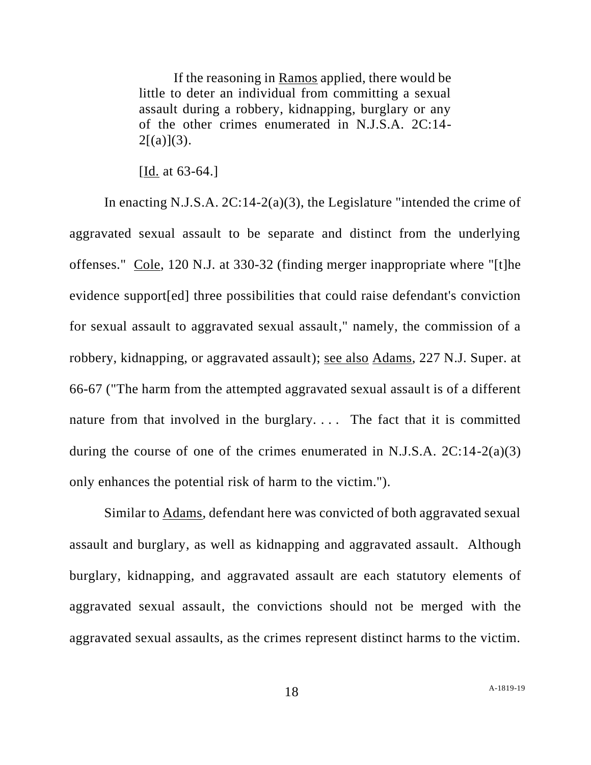If the reasoning in Ramos applied, there would be little to deter an individual from committing a sexual assault during a robbery, kidnapping, burglary or any of the other crimes enumerated in N.J.S.A. 2C:14-  $2[(a)](3)$ .

[Id. at 63-64.]

In enacting N.J.S.A. 2C:14-2(a)(3), the Legislature "intended the crime of aggravated sexual assault to be separate and distinct from the underlying offenses." Cole, 120 N.J. at 330-32 (finding merger inappropriate where "[t]he evidence support[ed] three possibilities that could raise defendant's conviction for sexual assault to aggravated sexual assault," namely, the commission of a robbery, kidnapping, or aggravated assault); see also Adams, 227 N.J. Super. at 66-67 ("The harm from the attempted aggravated sexual assault is of a different nature from that involved in the burglary.... The fact that it is committed during the course of one of the crimes enumerated in N.J.S.A.  $2C:14-2(a)(3)$ only enhances the potential risk of harm to the victim.").

Similar to Adams, defendant here was convicted of both aggravated sexual assault and burglary, as well as kidnapping and aggravated assault. Although burglary, kidnapping, and aggravated assault are each statutory elements of aggravated sexual assault, the convictions should not be merged with the aggravated sexual assaults, as the crimes represent distinct harms to the victim.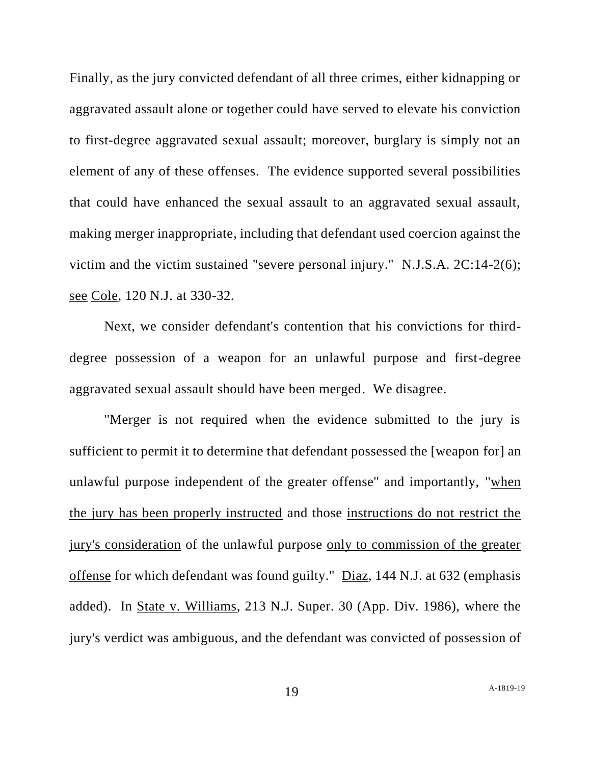Finally, as the jury convicted defendant of all three crimes, either kidnapping or aggravated assault alone or together could have served to elevate his conviction to first-degree aggravated sexual assault; moreover, burglary is simply not an element of any of these offenses. The evidence supported several possibilities that could have enhanced the sexual assault to an aggravated sexual assault, making merger inappropriate, including that defendant used coercion against the victim and the victim sustained "severe personal injury." N.J.S.A. 2C:14-2(6); see Cole, 120 N.J. at 330-32.

Next, we consider defendant's contention that his convictions for thirddegree possession of a weapon for an unlawful purpose and first-degree aggravated sexual assault should have been merged. We disagree.

''Merger is not required when the evidence submitted to the jury is sufficient to permit it to determine that defendant possessed the [weapon for] an unlawful purpose independent of the greater offense" and importantly, "when the jury has been properly instructed and those instructions do not restrict the jury's consideration of the unlawful purpose only to commission of the greater offense for which defendant was found guilty.'' Diaz, 144 N.J. at 632 (emphasis added). In State v. Williams, 213 N.J. Super. 30 (App. Div. 1986), where the jury's verdict was ambiguous, and the defendant was convicted of possession of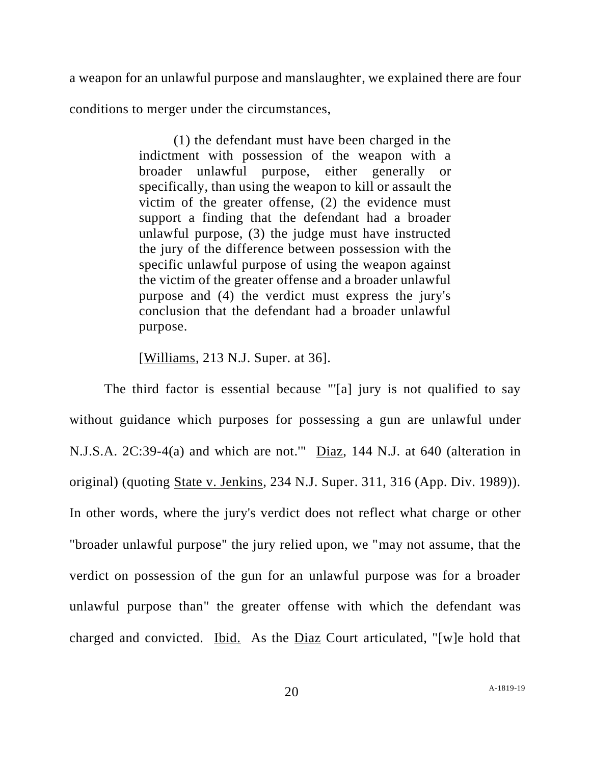a weapon for an unlawful purpose and manslaughter, we explained there are four

conditions to merger under the circumstances,

(1) the defendant must have been charged in the indictment with possession of the weapon with a broader unlawful purpose, either generally or specifically, than using the weapon to kill or assault the victim of the greater offense, (2) the evidence must support a finding that the defendant had a broader unlawful purpose, (3) the judge must have instructed the jury of the difference between possession with the specific unlawful purpose of using the weapon against the victim of the greater offense and a broader unlawful purpose and (4) the verdict must express the jury's conclusion that the defendant had a broader unlawful purpose.

[Williams, 213 N.J. Super. at 36].

The third factor is essential because "'[a] jury is not qualified to say without guidance which purposes for possessing a gun are unlawful under N.J.S.A. 2C:39-4(a) and which are not.'" Diaz, 144 N.J. at 640 (alteration in original) (quoting State v. Jenkins, 234 N.J. Super. 311, 316 (App. Div. 1989)). In other words, where the jury's verdict does not reflect what charge or other "broader unlawful purpose" the jury relied upon, we "may not assume, that the verdict on possession of the gun for an unlawful purpose was for a broader unlawful purpose than" the greater offense with which the defendant was charged and convicted. Ibid. As the Diaz Court articulated, "[w]e hold that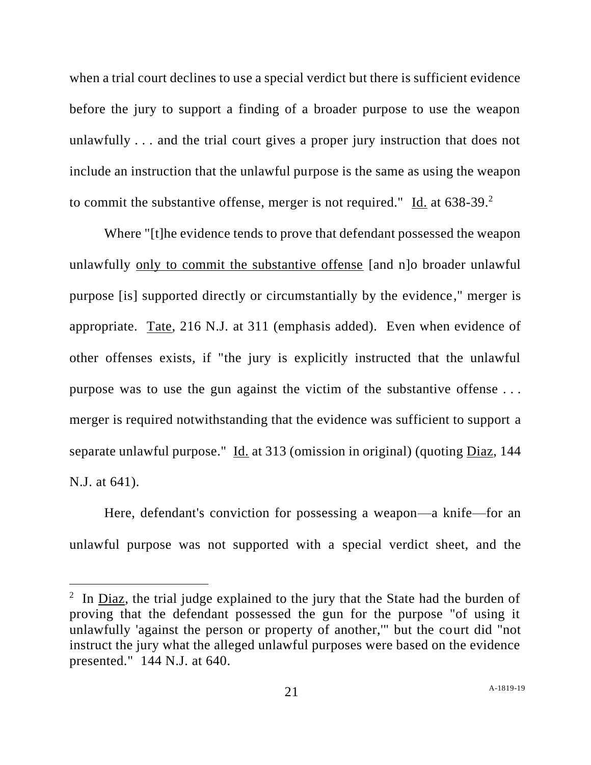when a trial court declines to use a special verdict but there is sufficient evidence before the jury to support a finding of a broader purpose to use the weapon unlawfully . . . and the trial court gives a proper jury instruction that does not include an instruction that the unlawful purpose is the same as using the weapon to commit the substantive offense, merger is not required."  $\underline{Id}$  at 638-39.<sup>2</sup>

Where "[t]he evidence tends to prove that defendant possessed the weapon unlawfully only to commit the substantive offense [and n]o broader unlawful purpose [is] supported directly or circumstantially by the evidence," merger is appropriate. Tate, 216 N.J. at 311 (emphasis added). Even when evidence of other offenses exists, if "the jury is explicitly instructed that the unlawful purpose was to use the gun against the victim of the substantive offense . . . merger is required notwithstanding that the evidence was sufficient to support a separate unlawful purpose." Id. at 313 (omission in original) (quoting Diaz, 144 N.J. at 641).

Here, defendant's conviction for possessing a weapon—a knife—for an unlawful purpose was not supported with a special verdict sheet, and the

<sup>&</sup>lt;sup>2</sup> In  $\overline{Diaz}$ , the trial judge explained to the jury that the State had the burden of proving that the defendant possessed the gun for the purpose "of using it unlawfully 'against the person or property of another,'" but the court did "not instruct the jury what the alleged unlawful purposes were based on the evidence presented." 144 N.J. at 640.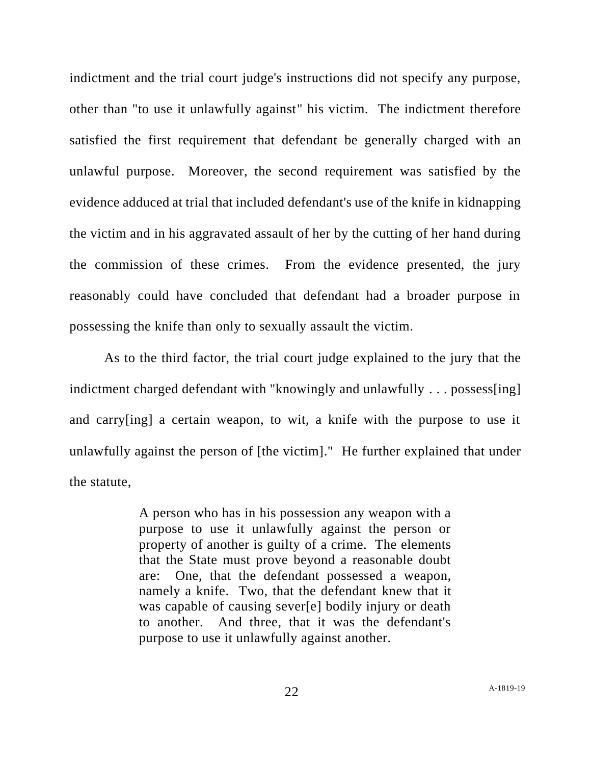indictment and the trial court judge's instructions did not specify any purpose, other than "to use it unlawfully against" his victim. The indictment therefore satisfied the first requirement that defendant be generally charged with an unlawful purpose. Moreover, the second requirement was satisfied by the evidence adduced at trial that included defendant's use of the knife in kidnapping the victim and in his aggravated assault of her by the cutting of her hand during the commission of these crimes. From the evidence presented, the jury reasonably could have concluded that defendant had a broader purpose in possessing the knife than only to sexually assault the victim.

As to the third factor, the trial court judge explained to the jury that the indictment charged defendant with "knowingly and unlawfully . . . possess[ing] and carry[ing] a certain weapon, to wit, a knife with the purpose to use it unlawfully against the person of [the victim]." He further explained that under the statute,

> A person who has in his possession any weapon with a purpose to use it unlawfully against the person or property of another is guilty of a crime. The elements that the State must prove beyond a reasonable doubt are: One, that the defendant possessed a weapon, namely a knife. Two, that the defendant knew that it was capable of causing sever[e] bodily injury or death to another. And three, that it was the defendant's purpose to use it unlawfully against another.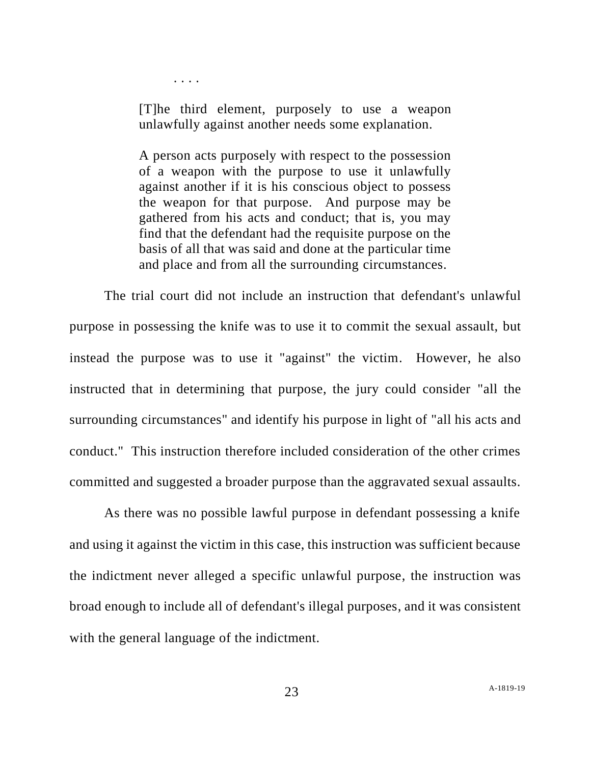. . . .

[T]he third element, purposely to use a weapon unlawfully against another needs some explanation.

A person acts purposely with respect to the possession of a weapon with the purpose to use it unlawfully against another if it is his conscious object to possess the weapon for that purpose. And purpose may be gathered from his acts and conduct; that is, you may find that the defendant had the requisite purpose on the basis of all that was said and done at the particular time and place and from all the surrounding circumstances.

The trial court did not include an instruction that defendant's unlawful purpose in possessing the knife was to use it to commit the sexual assault, but instead the purpose was to use it "against" the victim. However, he also instructed that in determining that purpose, the jury could consider "all the surrounding circumstances" and identify his purpose in light of "all his acts and conduct." This instruction therefore included consideration of the other crimes committed and suggested a broader purpose than the aggravated sexual assaults.

As there was no possible lawful purpose in defendant possessing a knife and using it against the victim in this case, this instruction was sufficient because the indictment never alleged a specific unlawful purpose, the instruction was broad enough to include all of defendant's illegal purposes, and it was consistent with the general language of the indictment.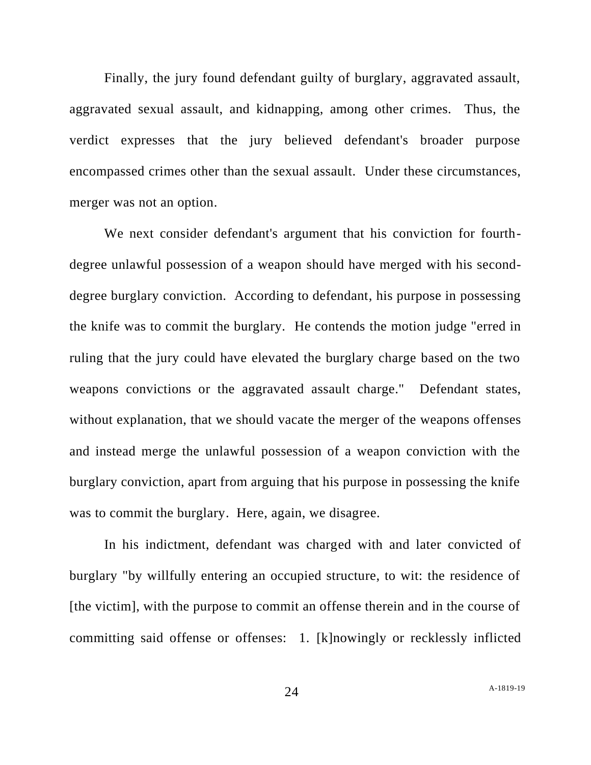Finally, the jury found defendant guilty of burglary, aggravated assault, aggravated sexual assault, and kidnapping, among other crimes. Thus, the verdict expresses that the jury believed defendant's broader purpose encompassed crimes other than the sexual assault. Under these circumstances, merger was not an option.

We next consider defendant's argument that his conviction for fourthdegree unlawful possession of a weapon should have merged with his seconddegree burglary conviction. According to defendant, his purpose in possessing the knife was to commit the burglary. He contends the motion judge "erred in ruling that the jury could have elevated the burglary charge based on the two weapons convictions or the aggravated assault charge." Defendant states, without explanation, that we should vacate the merger of the weapons offenses and instead merge the unlawful possession of a weapon conviction with the burglary conviction, apart from arguing that his purpose in possessing the knife was to commit the burglary. Here, again, we disagree.

In his indictment, defendant was charged with and later convicted of burglary "by willfully entering an occupied structure, to wit: the residence of [the victim], with the purpose to commit an offense therein and in the course of committing said offense or offenses: 1. [k]nowingly or recklessly inflicted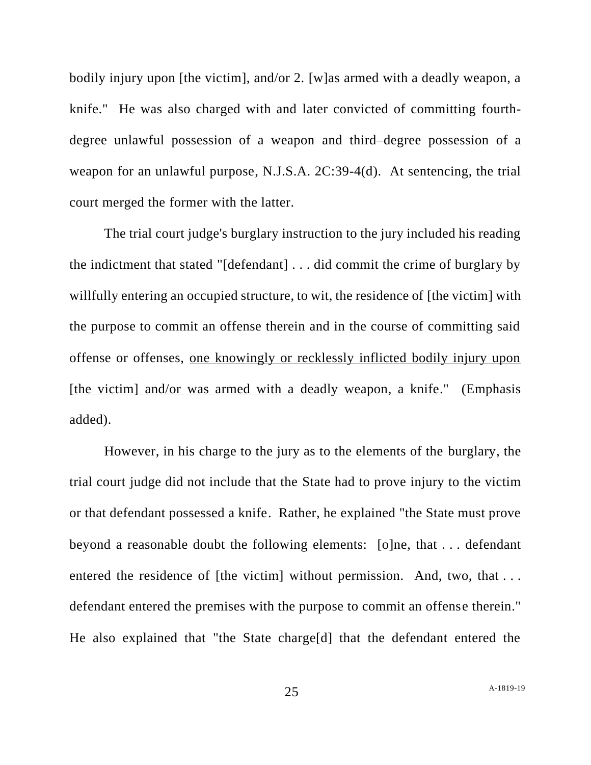bodily injury upon [the victim], and/or 2. [w]as armed with a deadly weapon, a knife." He was also charged with and later convicted of committing fourthdegree unlawful possession of a weapon and third–degree possession of a weapon for an unlawful purpose, N.J.S.A. 2C:39-4(d). At sentencing, the trial court merged the former with the latter.

The trial court judge's burglary instruction to the jury included his reading the indictment that stated "[defendant] . . . did commit the crime of burglary by willfully entering an occupied structure, to wit, the residence of [the victim] with the purpose to commit an offense therein and in the course of committing said offense or offenses, one knowingly or recklessly inflicted bodily injury upon [the victim] and/or was armed with a deadly weapon, a knife." (Emphasis added).

However, in his charge to the jury as to the elements of the burglary, the trial court judge did not include that the State had to prove injury to the victim or that defendant possessed a knife. Rather, he explained "the State must prove beyond a reasonable doubt the following elements: [o]ne, that . . . defendant entered the residence of [the victim] without permission. And, two, that ... defendant entered the premises with the purpose to commit an offense therein." He also explained that "the State charge[d] that the defendant entered the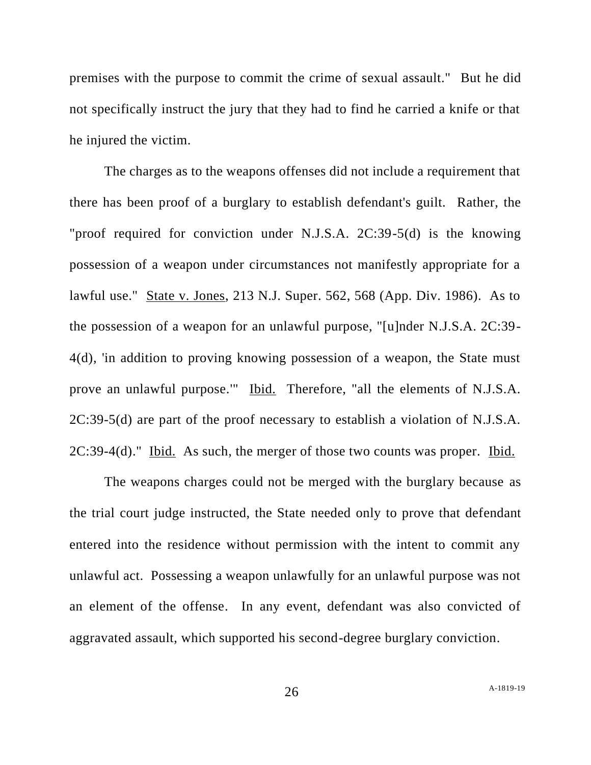premises with the purpose to commit the crime of sexual assault." But he did not specifically instruct the jury that they had to find he carried a knife or that he injured the victim.

The charges as to the weapons offenses did not include a requirement that there has been proof of a burglary to establish defendant's guilt. Rather, the "proof required for conviction under N.J.S.A. 2C:39-5(d) is the knowing possession of a weapon under circumstances not manifestly appropriate for a lawful use." State v. Jones, 213 N.J. Super. 562, 568 (App. Div. 1986). As to the possession of a weapon for an unlawful purpose, "[u]nder N.J.S.A. 2C:39- 4(d), 'in addition to proving knowing possession of a weapon, the State must prove an unlawful purpose.'" Ibid. Therefore, "all the elements of N.J.S.A. 2C:39-5(d) are part of the proof necessary to establish a violation of N.J.S.A. 2C:39-4(d)." Ibid. As such, the merger of those two counts was proper. Ibid.

The weapons charges could not be merged with the burglary because as the trial court judge instructed, the State needed only to prove that defendant entered into the residence without permission with the intent to commit any unlawful act. Possessing a weapon unlawfully for an unlawful purpose was not an element of the offense. In any event, defendant was also convicted of aggravated assault, which supported his second-degree burglary conviction.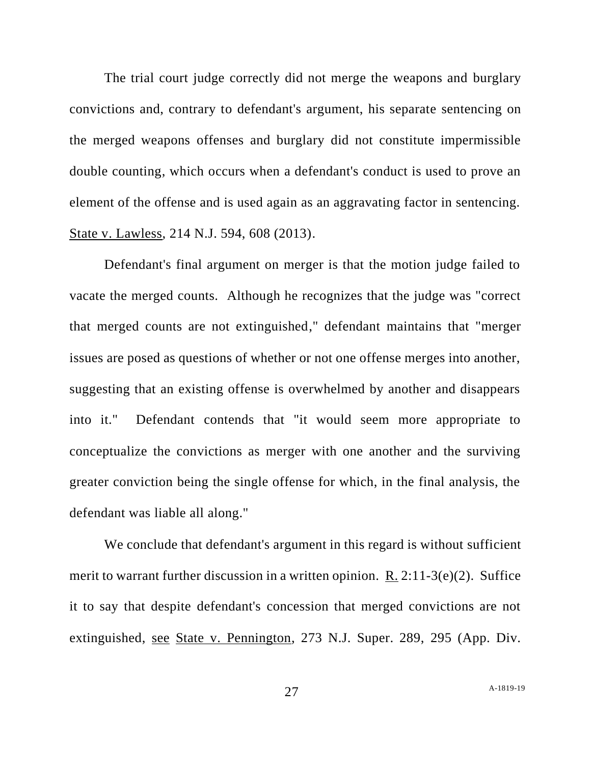The trial court judge correctly did not merge the weapons and burglary convictions and, contrary to defendant's argument, his separate sentencing on the merged weapons offenses and burglary did not constitute impermissible double counting, which occurs when a defendant's conduct is used to prove an element of the offense and is used again as an aggravating factor in sentencing. State v. Lawless, 214 N.J. 594, 608 (2013).

Defendant's final argument on merger is that the motion judge failed to vacate the merged counts. Although he recognizes that the judge was "correct that merged counts are not extinguished," defendant maintains that "merger issues are posed as questions of whether or not one offense merges into another, suggesting that an existing offense is overwhelmed by another and disappears into it." Defendant contends that "it would seem more appropriate to conceptualize the convictions as merger with one another and the surviving greater conviction being the single offense for which, in the final analysis, the defendant was liable all along."

We conclude that defendant's argument in this regard is without sufficient merit to warrant further discussion in a written opinion. R. 2:11-3(e)(2). Suffice it to say that despite defendant's concession that merged convictions are not extinguished, see State v. Pennington, 273 N.J. Super. 289, 295 (App. Div.